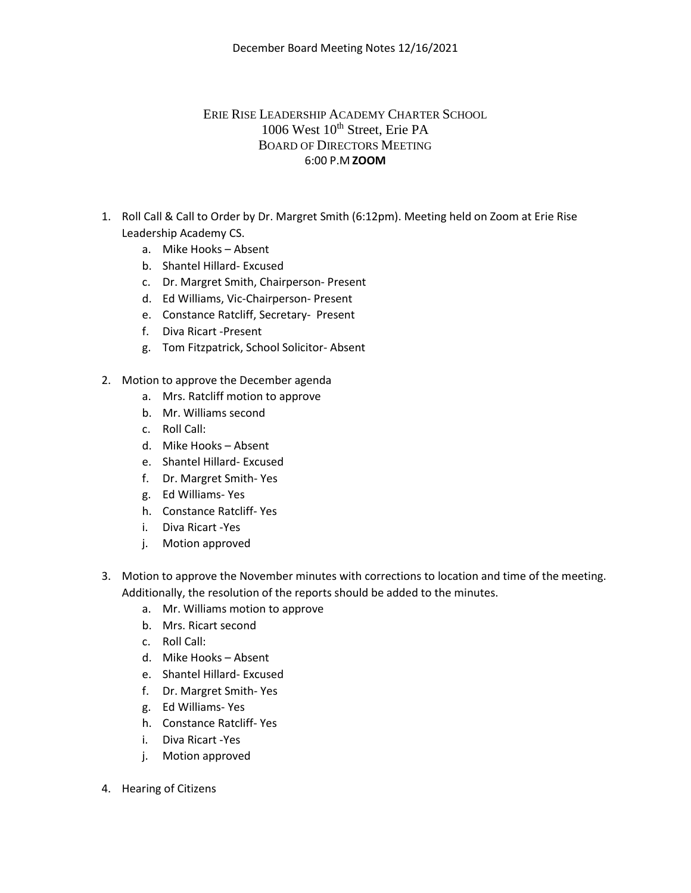## ERIE RISE LEADERSHIP ACADEMY CHARTER SCHOOL 1006 West 10<sup>th</sup> Street, Erie PA BOARD OF DIRECTORS MEETING 6:00 P.M **ZOOM**

- 1. Roll Call & Call to Order by Dr. Margret Smith (6:12pm). Meeting held on Zoom at Erie Rise Leadership Academy CS.
	- a. Mike Hooks Absent
	- b. Shantel Hillard- Excused
	- c. Dr. Margret Smith, Chairperson- Present
	- d. Ed Williams, Vic-Chairperson- Present
	- e. Constance Ratcliff, Secretary- Present
	- f. Diva Ricart -Present
	- g. Tom Fitzpatrick, School Solicitor- Absent
- 2. Motion to approve the December agenda
	- a. Mrs. Ratcliff motion to approve
	- b. Mr. Williams second
	- c. Roll Call:
	- d. Mike Hooks Absent
	- e. Shantel Hillard- Excused
	- f. Dr. Margret Smith- Yes
	- g. Ed Williams- Yes
	- h. Constance Ratcliff- Yes
	- i. Diva Ricart -Yes
	- j. Motion approved
- 3. Motion to approve the November minutes with corrections to location and time of the meeting. Additionally, the resolution of the reports should be added to the minutes.
	- a. Mr. Williams motion to approve
	- b. Mrs. Ricart second
	- c. Roll Call:
	- d. Mike Hooks Absent
	- e. Shantel Hillard- Excused
	- f. Dr. Margret Smith- Yes
	- g. Ed Williams- Yes
	- h. Constance Ratcliff- Yes
	- i. Diva Ricart -Yes
	- j. Motion approved
- 4. Hearing of Citizens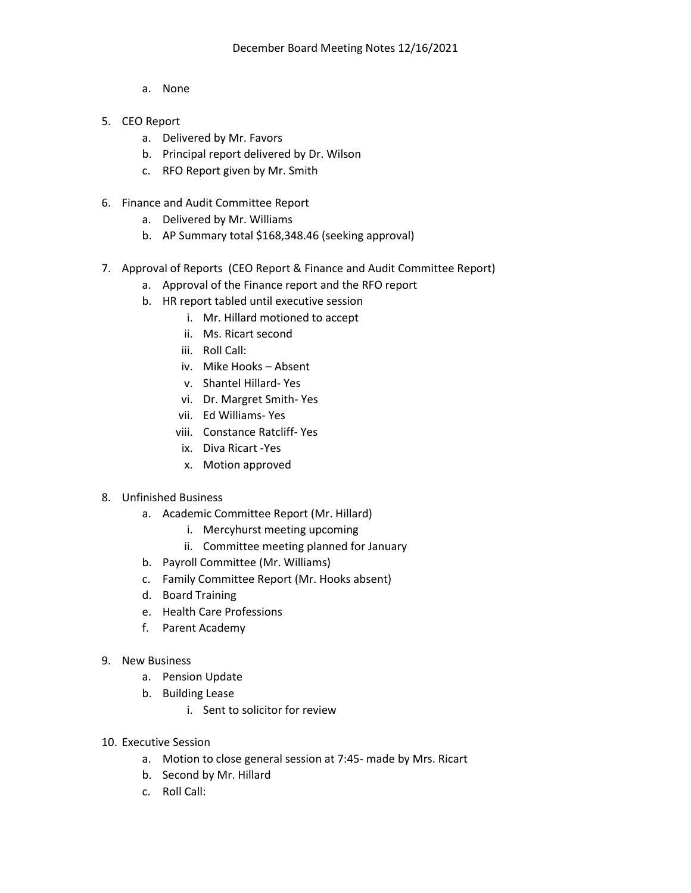- a. None
- 5. CEO Report
	- a. Delivered by Mr. Favors
	- b. Principal report delivered by Dr. Wilson
	- c. RFO Report given by Mr. Smith
- 6. Finance and Audit Committee Report
	- a. Delivered by Mr. Williams
	- b. AP Summary total \$168,348.46 (seeking approval)
- 7. Approval of Reports (CEO Report & Finance and Audit Committee Report)
	- a. Approval of the Finance report and the RFO report
	- b. HR report tabled until executive session
		- i. Mr. Hillard motioned to accept
		- ii. Ms. Ricart second
		- iii. Roll Call:
		- iv. Mike Hooks Absent
		- v. Shantel Hillard- Yes
		- vi. Dr. Margret Smith- Yes
		- vii. Ed Williams- Yes
		- viii. Constance Ratcliff- Yes
		- ix. Diva Ricart -Yes
		- x. Motion approved
- 8. Unfinished Business
	- a. Academic Committee Report (Mr. Hillard)
		- i. Mercyhurst meeting upcoming
		- ii. Committee meeting planned for January
	- b. Payroll Committee (Mr. Williams)
	- c. Family Committee Report (Mr. Hooks absent)
	- d. Board Training
	- e. Health Care Professions
	- f. Parent Academy
- 9. New Business
	- a. Pension Update
	- b. Building Lease
		- i. Sent to solicitor for review
- 10. Executive Session
	- a. Motion to close general session at 7:45- made by Mrs. Ricart
	- b. Second by Mr. Hillard
	- c. Roll Call: